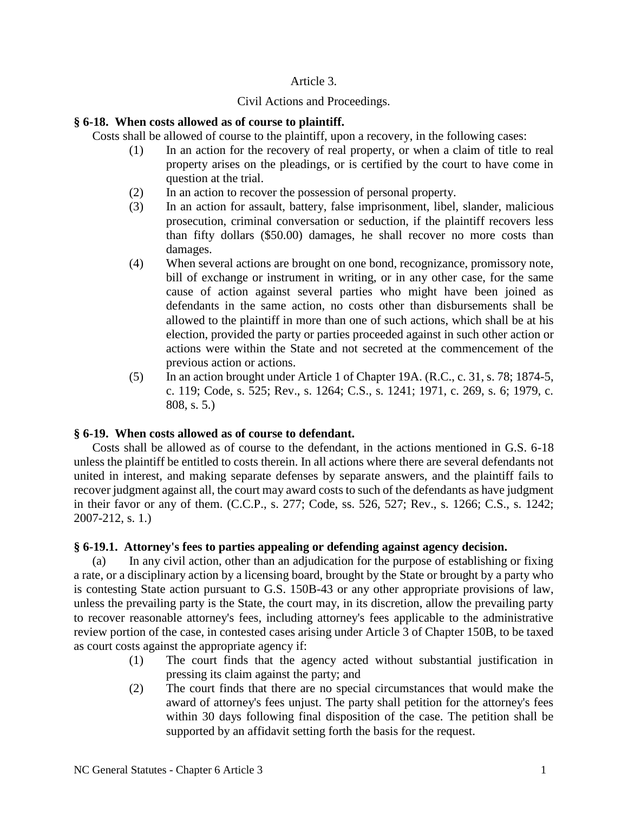## Article 3.

# Civil Actions and Proceedings.

# **§ 6-18. When costs allowed as of course to plaintiff.**

Costs shall be allowed of course to the plaintiff, upon a recovery, in the following cases:

- (1) In an action for the recovery of real property, or when a claim of title to real property arises on the pleadings, or is certified by the court to have come in question at the trial.
- (2) In an action to recover the possession of personal property.
- (3) In an action for assault, battery, false imprisonment, libel, slander, malicious prosecution, criminal conversation or seduction, if the plaintiff recovers less than fifty dollars (\$50.00) damages, he shall recover no more costs than damages.
- (4) When several actions are brought on one bond, recognizance, promissory note, bill of exchange or instrument in writing, or in any other case, for the same cause of action against several parties who might have been joined as defendants in the same action, no costs other than disbursements shall be allowed to the plaintiff in more than one of such actions, which shall be at his election, provided the party or parties proceeded against in such other action or actions were within the State and not secreted at the commencement of the previous action or actions.
- (5) In an action brought under Article 1 of Chapter 19A. (R.C., c. 31, s. 78; 1874-5, c. 119; Code, s. 525; Rev., s. 1264; C.S., s. 1241; 1971, c. 269, s. 6; 1979, c. 808, s. 5.)

## **§ 6-19. When costs allowed as of course to defendant.**

Costs shall be allowed as of course to the defendant, in the actions mentioned in G.S. 6-18 unless the plaintiff be entitled to costs therein. In all actions where there are several defendants not united in interest, and making separate defenses by separate answers, and the plaintiff fails to recover judgment against all, the court may award costs to such of the defendants as have judgment in their favor or any of them. (C.C.P., s. 277; Code, ss. 526, 527; Rev., s. 1266; C.S., s. 1242; 2007-212, s. 1.)

# **§ 6-19.1. Attorney's fees to parties appealing or defending against agency decision.**

(a) In any civil action, other than an adjudication for the purpose of establishing or fixing a rate, or a disciplinary action by a licensing board, brought by the State or brought by a party who is contesting State action pursuant to G.S. 150B-43 or any other appropriate provisions of law, unless the prevailing party is the State, the court may, in its discretion, allow the prevailing party to recover reasonable attorney's fees, including attorney's fees applicable to the administrative review portion of the case, in contested cases arising under Article 3 of Chapter 150B, to be taxed as court costs against the appropriate agency if:

- (1) The court finds that the agency acted without substantial justification in pressing its claim against the party; and
- (2) The court finds that there are no special circumstances that would make the award of attorney's fees unjust. The party shall petition for the attorney's fees within 30 days following final disposition of the case. The petition shall be supported by an affidavit setting forth the basis for the request.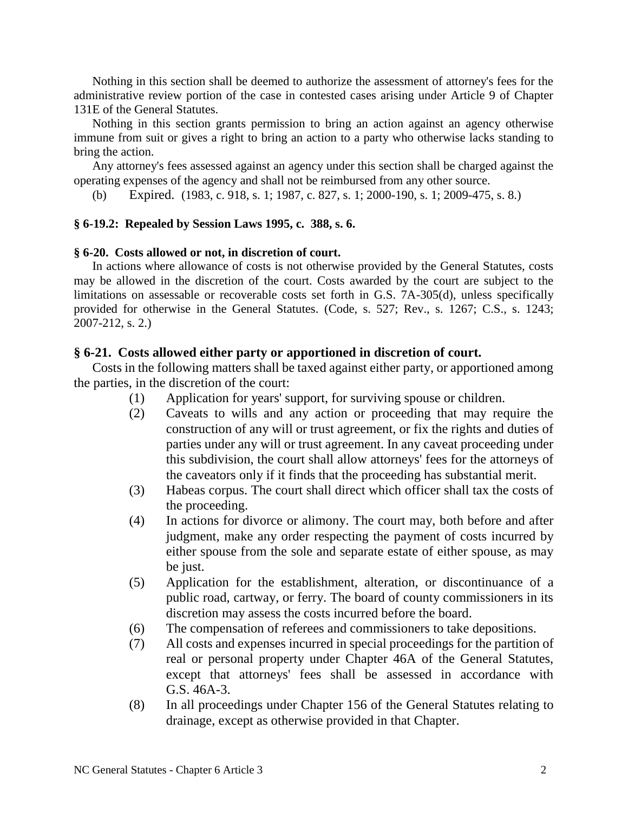Nothing in this section shall be deemed to authorize the assessment of attorney's fees for the administrative review portion of the case in contested cases arising under Article 9 of Chapter 131E of the General Statutes.

Nothing in this section grants permission to bring an action against an agency otherwise immune from suit or gives a right to bring an action to a party who otherwise lacks standing to bring the action.

Any attorney's fees assessed against an agency under this section shall be charged against the operating expenses of the agency and shall not be reimbursed from any other source.

(b) Expired. (1983, c. 918, s. 1; 1987, c. 827, s. 1; 2000-190, s. 1; 2009-475, s. 8.)

## **§ 6-19.2: Repealed by Session Laws 1995, c. 388, s. 6.**

### **§ 6-20. Costs allowed or not, in discretion of court.**

In actions where allowance of costs is not otherwise provided by the General Statutes, costs may be allowed in the discretion of the court. Costs awarded by the court are subject to the limitations on assessable or recoverable costs set forth in G.S. 7A-305(d), unless specifically provided for otherwise in the General Statutes. (Code, s. 527; Rev., s. 1267; C.S., s. 1243; 2007-212, s. 2.)

## **§ 6-21. Costs allowed either party or apportioned in discretion of court.**

Costs in the following matters shall be taxed against either party, or apportioned among the parties, in the discretion of the court:

- (1) Application for years' support, for surviving spouse or children.
- (2) Caveats to wills and any action or proceeding that may require the construction of any will or trust agreement, or fix the rights and duties of parties under any will or trust agreement. In any caveat proceeding under this subdivision, the court shall allow attorneys' fees for the attorneys of the caveators only if it finds that the proceeding has substantial merit.
- (3) Habeas corpus. The court shall direct which officer shall tax the costs of the proceeding.
- (4) In actions for divorce or alimony. The court may, both before and after judgment, make any order respecting the payment of costs incurred by either spouse from the sole and separate estate of either spouse, as may be just.
- (5) Application for the establishment, alteration, or discontinuance of a public road, cartway, or ferry. The board of county commissioners in its discretion may assess the costs incurred before the board.
- (6) The compensation of referees and commissioners to take depositions.
- (7) All costs and expenses incurred in special proceedings for the partition of real or personal property under Chapter 46A of the General Statutes, except that attorneys' fees shall be assessed in accordance with G.S. 46A-3.
- (8) In all proceedings under Chapter 156 of the General Statutes relating to drainage, except as otherwise provided in that Chapter.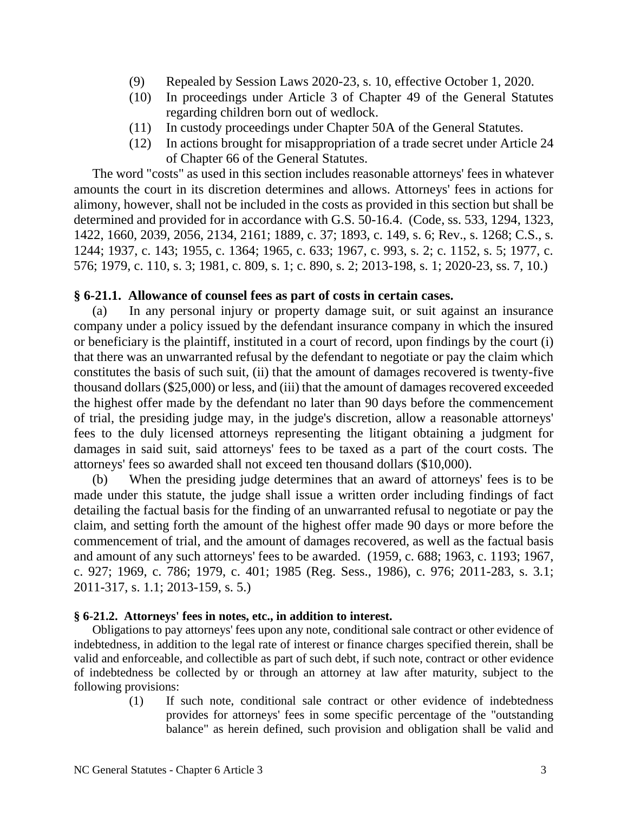- (9) Repealed by Session Laws 2020-23, s. 10, effective October 1, 2020.
- (10) In proceedings under Article 3 of Chapter 49 of the General Statutes regarding children born out of wedlock.
- (11) In custody proceedings under Chapter 50A of the General Statutes.
- (12) In actions brought for misappropriation of a trade secret under Article 24 of Chapter 66 of the General Statutes.

The word "costs" as used in this section includes reasonable attorneys' fees in whatever amounts the court in its discretion determines and allows. Attorneys' fees in actions for alimony, however, shall not be included in the costs as provided in this section but shall be determined and provided for in accordance with G.S. 50-16.4. (Code, ss. 533, 1294, 1323, 1422, 1660, 2039, 2056, 2134, 2161; 1889, c. 37; 1893, c. 149, s. 6; Rev., s. 1268; C.S., s. 1244; 1937, c. 143; 1955, c. 1364; 1965, c. 633; 1967, c. 993, s. 2; c. 1152, s. 5; 1977, c. 576; 1979, c. 110, s. 3; 1981, c. 809, s. 1; c. 890, s. 2; 2013-198, s. 1; 2020-23, ss. 7, 10.)

# **§ 6-21.1. Allowance of counsel fees as part of costs in certain cases.**

(a) In any personal injury or property damage suit, or suit against an insurance company under a policy issued by the defendant insurance company in which the insured or beneficiary is the plaintiff, instituted in a court of record, upon findings by the court (i) that there was an unwarranted refusal by the defendant to negotiate or pay the claim which constitutes the basis of such suit, (ii) that the amount of damages recovered is twenty-five thousand dollars (\$25,000) or less, and (iii) that the amount of damages recovered exceeded the highest offer made by the defendant no later than 90 days before the commencement of trial, the presiding judge may, in the judge's discretion, allow a reasonable attorneys' fees to the duly licensed attorneys representing the litigant obtaining a judgment for damages in said suit, said attorneys' fees to be taxed as a part of the court costs. The attorneys' fees so awarded shall not exceed ten thousand dollars (\$10,000).

(b) When the presiding judge determines that an award of attorneys' fees is to be made under this statute, the judge shall issue a written order including findings of fact detailing the factual basis for the finding of an unwarranted refusal to negotiate or pay the claim, and setting forth the amount of the highest offer made 90 days or more before the commencement of trial, and the amount of damages recovered, as well as the factual basis and amount of any such attorneys' fees to be awarded. (1959, c. 688; 1963, c. 1193; 1967, c. 927; 1969, c. 786; 1979, c. 401; 1985 (Reg. Sess., 1986), c. 976; 2011-283, s. 3.1; 2011-317, s. 1.1; 2013-159, s. 5.)

## **§ 6-21.2. Attorneys' fees in notes, etc., in addition to interest.**

Obligations to pay attorneys' fees upon any note, conditional sale contract or other evidence of indebtedness, in addition to the legal rate of interest or finance charges specified therein, shall be valid and enforceable, and collectible as part of such debt, if such note, contract or other evidence of indebtedness be collected by or through an attorney at law after maturity, subject to the following provisions:

> (1) If such note, conditional sale contract or other evidence of indebtedness provides for attorneys' fees in some specific percentage of the "outstanding balance" as herein defined, such provision and obligation shall be valid and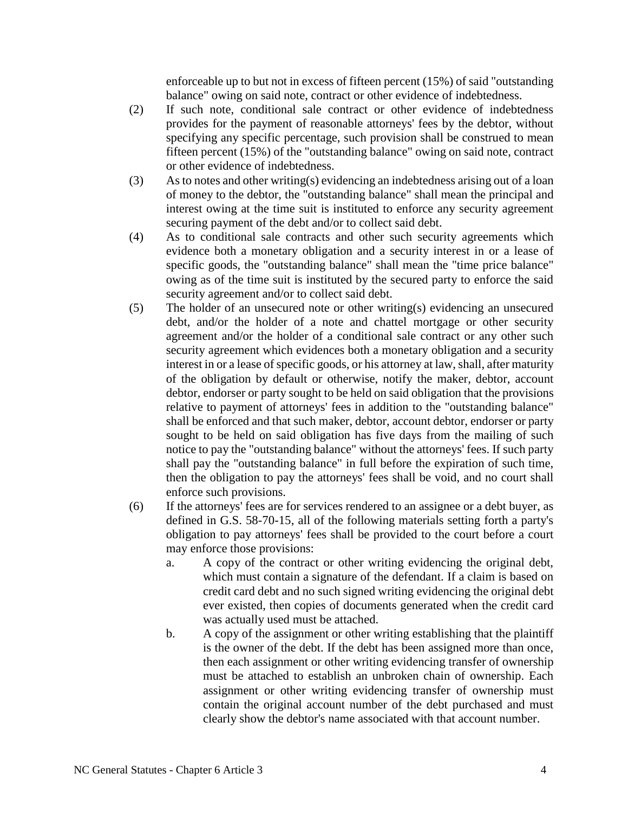enforceable up to but not in excess of fifteen percent (15%) of said "outstanding balance" owing on said note, contract or other evidence of indebtedness.

- (2) If such note, conditional sale contract or other evidence of indebtedness provides for the payment of reasonable attorneys' fees by the debtor, without specifying any specific percentage, such provision shall be construed to mean fifteen percent (15%) of the "outstanding balance" owing on said note, contract or other evidence of indebtedness.
- (3) As to notes and other writing(s) evidencing an indebtedness arising out of a loan of money to the debtor, the "outstanding balance" shall mean the principal and interest owing at the time suit is instituted to enforce any security agreement securing payment of the debt and/or to collect said debt.
- (4) As to conditional sale contracts and other such security agreements which evidence both a monetary obligation and a security interest in or a lease of specific goods, the "outstanding balance" shall mean the "time price balance" owing as of the time suit is instituted by the secured party to enforce the said security agreement and/or to collect said debt.
- (5) The holder of an unsecured note or other writing(s) evidencing an unsecured debt, and/or the holder of a note and chattel mortgage or other security agreement and/or the holder of a conditional sale contract or any other such security agreement which evidences both a monetary obligation and a security interest in or a lease of specific goods, or his attorney at law, shall, after maturity of the obligation by default or otherwise, notify the maker, debtor, account debtor, endorser or party sought to be held on said obligation that the provisions relative to payment of attorneys' fees in addition to the "outstanding balance" shall be enforced and that such maker, debtor, account debtor, endorser or party sought to be held on said obligation has five days from the mailing of such notice to pay the "outstanding balance" without the attorneys' fees. If such party shall pay the "outstanding balance" in full before the expiration of such time, then the obligation to pay the attorneys' fees shall be void, and no court shall enforce such provisions.
- (6) If the attorneys' fees are for services rendered to an assignee or a debt buyer, as defined in G.S. 58-70-15, all of the following materials setting forth a party's obligation to pay attorneys' fees shall be provided to the court before a court may enforce those provisions:
	- a. A copy of the contract or other writing evidencing the original debt, which must contain a signature of the defendant. If a claim is based on credit card debt and no such signed writing evidencing the original debt ever existed, then copies of documents generated when the credit card was actually used must be attached.
	- b. A copy of the assignment or other writing establishing that the plaintiff is the owner of the debt. If the debt has been assigned more than once, then each assignment or other writing evidencing transfer of ownership must be attached to establish an unbroken chain of ownership. Each assignment or other writing evidencing transfer of ownership must contain the original account number of the debt purchased and must clearly show the debtor's name associated with that account number.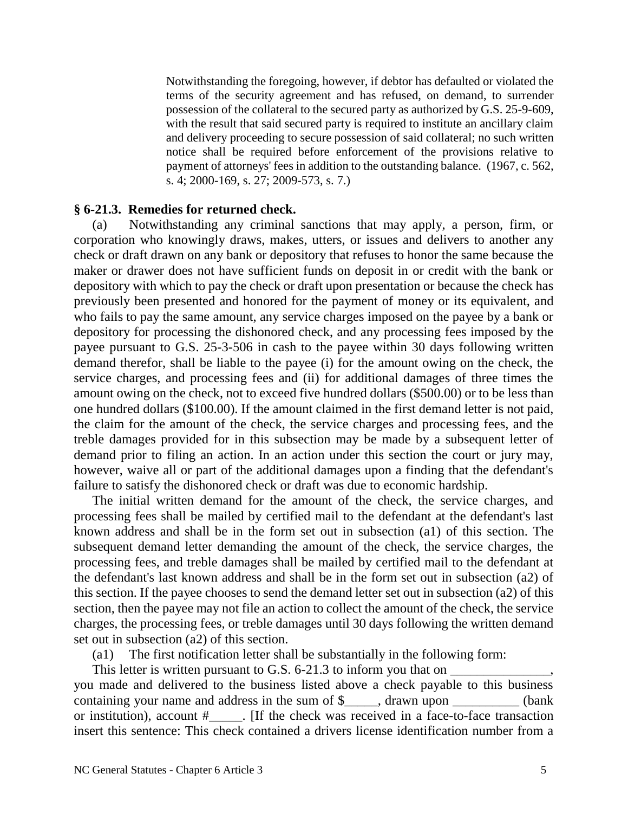Notwithstanding the foregoing, however, if debtor has defaulted or violated the terms of the security agreement and has refused, on demand, to surrender possession of the collateral to the secured party as authorized by G.S. 25-9-609, with the result that said secured party is required to institute an ancillary claim and delivery proceeding to secure possession of said collateral; no such written notice shall be required before enforcement of the provisions relative to payment of attorneys' fees in addition to the outstanding balance. (1967, c. 562, s. 4; 2000-169, s. 27; 2009-573, s. 7.)

## **§ 6-21.3. Remedies for returned check.**

(a) Notwithstanding any criminal sanctions that may apply, a person, firm, or corporation who knowingly draws, makes, utters, or issues and delivers to another any check or draft drawn on any bank or depository that refuses to honor the same because the maker or drawer does not have sufficient funds on deposit in or credit with the bank or depository with which to pay the check or draft upon presentation or because the check has previously been presented and honored for the payment of money or its equivalent, and who fails to pay the same amount, any service charges imposed on the payee by a bank or depository for processing the dishonored check, and any processing fees imposed by the payee pursuant to G.S. 25-3-506 in cash to the payee within 30 days following written demand therefor, shall be liable to the payee (i) for the amount owing on the check, the service charges, and processing fees and (ii) for additional damages of three times the amount owing on the check, not to exceed five hundred dollars (\$500.00) or to be less than one hundred dollars (\$100.00). If the amount claimed in the first demand letter is not paid, the claim for the amount of the check, the service charges and processing fees, and the treble damages provided for in this subsection may be made by a subsequent letter of demand prior to filing an action. In an action under this section the court or jury may, however, waive all or part of the additional damages upon a finding that the defendant's failure to satisfy the dishonored check or draft was due to economic hardship.

The initial written demand for the amount of the check, the service charges, and processing fees shall be mailed by certified mail to the defendant at the defendant's last known address and shall be in the form set out in subsection (a1) of this section. The subsequent demand letter demanding the amount of the check, the service charges, the processing fees, and treble damages shall be mailed by certified mail to the defendant at the defendant's last known address and shall be in the form set out in subsection (a2) of this section. If the payee chooses to send the demand letter set out in subsection (a2) of this section, then the payee may not file an action to collect the amount of the check, the service charges, the processing fees, or treble damages until 30 days following the written demand set out in subsection (a2) of this section.

(a1) The first notification letter shall be substantially in the following form:

This letter is written pursuant to G.S.  $6-21.3$  to inform you that on you made and delivered to the business listed above a check payable to this business containing your name and address in the sum of \$ containing vour name and address in the sum of \$ contains when  $\theta$ or institution), account #\_\_\_\_\_. [If the check was received in a face-to-face transaction insert this sentence: This check contained a drivers license identification number from a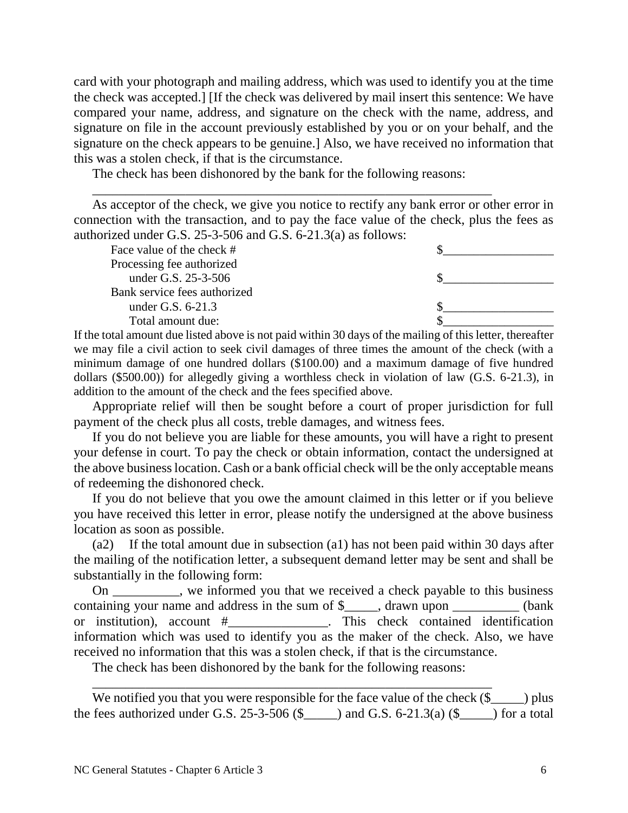card with your photograph and mailing address, which was used to identify you at the time the check was accepted.] [If the check was delivered by mail insert this sentence: We have compared your name, address, and signature on the check with the name, address, and signature on file in the account previously established by you or on your behalf, and the signature on the check appears to be genuine.] Also, we have received no information that this was a stolen check, if that is the circumstance.

The check has been dishonored by the bank for the following reasons:

\_\_\_\_\_\_\_\_\_\_\_\_\_\_\_\_\_\_\_\_\_\_\_\_\_\_\_\_\_\_\_\_\_\_\_\_\_\_\_\_\_\_\_\_\_\_\_\_\_\_\_\_\_\_\_\_\_\_\_\_

As acceptor of the check, we give you notice to rectify any bank error or other error in connection with the transaction, and to pay the face value of the check, plus the fees as authorized under G.S. 25-3-506 and G.S. 6-21.3(a) as follows:

| Face value of the check #    |  |
|------------------------------|--|
| Processing fee authorized    |  |
| under G.S. 25-3-506          |  |
| Bank service fees authorized |  |
| under G.S. $6-21.3$          |  |
| Total amount due:            |  |

If the total amount due listed above is not paid within 30 days of the mailing of this letter, thereafter we may file a civil action to seek civil damages of three times the amount of the check (with a minimum damage of one hundred dollars (\$100.00) and a maximum damage of five hundred dollars (\$500.00)) for allegedly giving a worthless check in violation of law (G.S. 6-21.3), in addition to the amount of the check and the fees specified above.

Appropriate relief will then be sought before a court of proper jurisdiction for full payment of the check plus all costs, treble damages, and witness fees.

If you do not believe you are liable for these amounts, you will have a right to present your defense in court. To pay the check or obtain information, contact the undersigned at the above business location. Cash or a bank official check will be the only acceptable means of redeeming the dishonored check.

If you do not believe that you owe the amount claimed in this letter or if you believe you have received this letter in error, please notify the undersigned at the above business location as soon as possible.

(a2) If the total amount due in subsection (a1) has not been paid within 30 days after the mailing of the notification letter, a subsequent demand letter may be sent and shall be substantially in the following form:

On \_\_\_\_\_\_\_\_\_\_, we informed you that we received a check payable to this business containing your name and address in the sum of \$\_\_\_\_, drawn upon \_\_\_\_\_\_\_\_\_ (bank or institution), account #\_\_\_\_\_\_\_\_\_\_\_\_\_\_\_. This check contained identification information which was used to identify you as the maker of the check. Also, we have received no information that this was a stolen check, if that is the circumstance.

The check has been dishonored by the bank for the following reasons:

\_\_\_\_\_\_\_\_\_\_\_\_\_\_\_\_\_\_\_\_\_\_\_\_\_\_\_\_\_\_\_\_\_\_\_\_\_\_\_\_\_\_\_\_\_\_\_\_\_\_\_\_\_\_\_\_\_\_\_\_

We notified you that you were responsible for the face value of the check  $(\frac{1}{2})$  plus the fees authorized under G.S. 25-3-506 (\$ $\qquad$ ) and G.S. 6-21.3(a) (\$ $\qquad$ ) for a total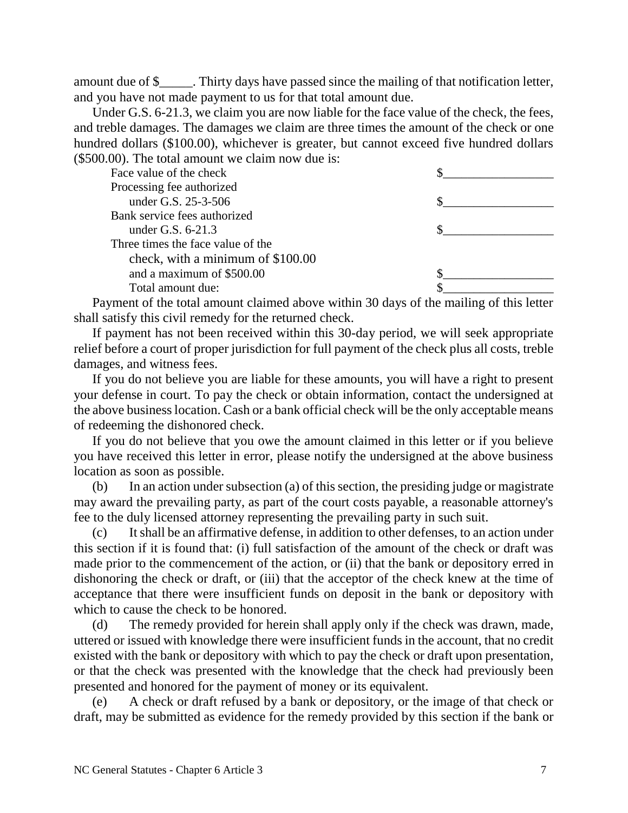amount due of \$\_\_\_\_\_. Thirty days have passed since the mailing of that notification letter, and you have not made payment to us for that total amount due.

Under G.S. 6-21.3, we claim you are now liable for the face value of the check, the fees, and treble damages. The damages we claim are three times the amount of the check or one hundred dollars (\$100.00), whichever is greater, but cannot exceed five hundred dollars (\$500.00). The total amount we claim now due is:

| Face value of the check           |  |
|-----------------------------------|--|
| Processing fee authorized         |  |
| under G.S. 25-3-506               |  |
| Bank service fees authorized      |  |
| under G.S. 6-21.3                 |  |
| Three times the face value of the |  |
| check, with a minimum of \$100.00 |  |
| and a maximum of \$500.00         |  |
| Total amount due:                 |  |

Payment of the total amount claimed above within 30 days of the mailing of this letter shall satisfy this civil remedy for the returned check.

If payment has not been received within this 30-day period, we will seek appropriate relief before a court of proper jurisdiction for full payment of the check plus all costs, treble damages, and witness fees.

If you do not believe you are liable for these amounts, you will have a right to present your defense in court. To pay the check or obtain information, contact the undersigned at the above business location. Cash or a bank official check will be the only acceptable means of redeeming the dishonored check.

If you do not believe that you owe the amount claimed in this letter or if you believe you have received this letter in error, please notify the undersigned at the above business location as soon as possible.

(b) In an action under subsection (a) of this section, the presiding judge or magistrate may award the prevailing party, as part of the court costs payable, a reasonable attorney's fee to the duly licensed attorney representing the prevailing party in such suit.

(c) It shall be an affirmative defense, in addition to other defenses, to an action under this section if it is found that: (i) full satisfaction of the amount of the check or draft was made prior to the commencement of the action, or (ii) that the bank or depository erred in dishonoring the check or draft, or (iii) that the acceptor of the check knew at the time of acceptance that there were insufficient funds on deposit in the bank or depository with which to cause the check to be honored.

(d) The remedy provided for herein shall apply only if the check was drawn, made, uttered or issued with knowledge there were insufficient funds in the account, that no credit existed with the bank or depository with which to pay the check or draft upon presentation, or that the check was presented with the knowledge that the check had previously been presented and honored for the payment of money or its equivalent.

(e) A check or draft refused by a bank or depository, or the image of that check or draft, may be submitted as evidence for the remedy provided by this section if the bank or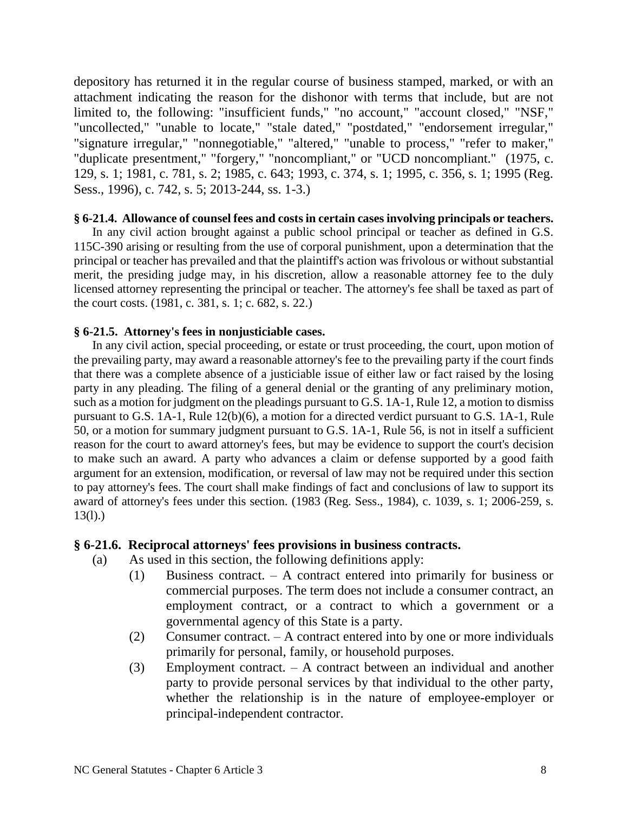depository has returned it in the regular course of business stamped, marked, or with an attachment indicating the reason for the dishonor with terms that include, but are not limited to, the following: "insufficient funds," "no account," "account closed," "NSF," "uncollected," "unable to locate," "stale dated," "postdated," "endorsement irregular," "signature irregular," "nonnegotiable," "altered," "unable to process," "refer to maker," "duplicate presentment," "forgery," "noncompliant," or "UCD noncompliant." (1975, c. 129, s. 1; 1981, c. 781, s. 2; 1985, c. 643; 1993, c. 374, s. 1; 1995, c. 356, s. 1; 1995 (Reg. Sess., 1996), c. 742, s. 5; 2013-244, ss. 1-3.)

## **§ 6-21.4. Allowance of counsel fees and costs in certain cases involving principals or teachers.**

In any civil action brought against a public school principal or teacher as defined in G.S. 115C-390 arising or resulting from the use of corporal punishment, upon a determination that the principal or teacher has prevailed and that the plaintiff's action was frivolous or without substantial merit, the presiding judge may, in his discretion, allow a reasonable attorney fee to the duly licensed attorney representing the principal or teacher. The attorney's fee shall be taxed as part of the court costs. (1981, c. 381, s. 1; c. 682, s. 22.)

## **§ 6-21.5. Attorney's fees in nonjusticiable cases.**

In any civil action, special proceeding, or estate or trust proceeding, the court, upon motion of the prevailing party, may award a reasonable attorney's fee to the prevailing party if the court finds that there was a complete absence of a justiciable issue of either law or fact raised by the losing party in any pleading. The filing of a general denial or the granting of any preliminary motion, such as a motion for judgment on the pleadings pursuant to G.S. 1A-1, Rule 12, a motion to dismiss pursuant to G.S. 1A-1, Rule 12(b)(6), a motion for a directed verdict pursuant to G.S. 1A-1, Rule 50, or a motion for summary judgment pursuant to G.S. 1A-1, Rule 56, is not in itself a sufficient reason for the court to award attorney's fees, but may be evidence to support the court's decision to make such an award. A party who advances a claim or defense supported by a good faith argument for an extension, modification, or reversal of law may not be required under this section to pay attorney's fees. The court shall make findings of fact and conclusions of law to support its award of attorney's fees under this section. (1983 (Reg. Sess., 1984), c. 1039, s. 1; 2006-259, s.  $13(l)$ .)

## **§ 6-21.6. Reciprocal attorneys' fees provisions in business contracts.**

- (a) As used in this section, the following definitions apply:
	- (1) Business contract. A contract entered into primarily for business or commercial purposes. The term does not include a consumer contract, an employment contract, or a contract to which a government or a governmental agency of this State is a party.
	- (2) Consumer contract. A contract entered into by one or more individuals primarily for personal, family, or household purposes.
	- (3) Employment contract. A contract between an individual and another party to provide personal services by that individual to the other party, whether the relationship is in the nature of employee-employer or principal-independent contractor.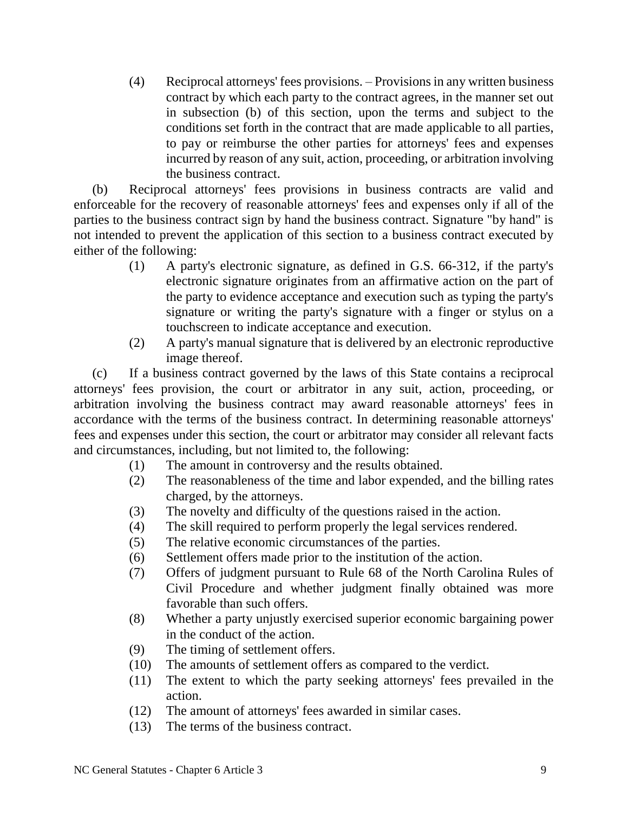(4) Reciprocal attorneys' fees provisions. – Provisions in any written business contract by which each party to the contract agrees, in the manner set out in subsection (b) of this section, upon the terms and subject to the conditions set forth in the contract that are made applicable to all parties, to pay or reimburse the other parties for attorneys' fees and expenses incurred by reason of any suit, action, proceeding, or arbitration involving the business contract.

(b) Reciprocal attorneys' fees provisions in business contracts are valid and enforceable for the recovery of reasonable attorneys' fees and expenses only if all of the parties to the business contract sign by hand the business contract. Signature "by hand" is not intended to prevent the application of this section to a business contract executed by either of the following:

- (1) A party's electronic signature, as defined in G.S. 66-312, if the party's electronic signature originates from an affirmative action on the part of the party to evidence acceptance and execution such as typing the party's signature or writing the party's signature with a finger or stylus on a touchscreen to indicate acceptance and execution.
- (2) A party's manual signature that is delivered by an electronic reproductive image thereof.

(c) If a business contract governed by the laws of this State contains a reciprocal attorneys' fees provision, the court or arbitrator in any suit, action, proceeding, or arbitration involving the business contract may award reasonable attorneys' fees in accordance with the terms of the business contract. In determining reasonable attorneys' fees and expenses under this section, the court or arbitrator may consider all relevant facts and circumstances, including, but not limited to, the following:

- (1) The amount in controversy and the results obtained.
- (2) The reasonableness of the time and labor expended, and the billing rates charged, by the attorneys.
- (3) The novelty and difficulty of the questions raised in the action.
- (4) The skill required to perform properly the legal services rendered.
- (5) The relative economic circumstances of the parties.
- (6) Settlement offers made prior to the institution of the action.
- (7) Offers of judgment pursuant to Rule 68 of the North Carolina Rules of Civil Procedure and whether judgment finally obtained was more favorable than such offers.
- (8) Whether a party unjustly exercised superior economic bargaining power in the conduct of the action.
- (9) The timing of settlement offers.
- (10) The amounts of settlement offers as compared to the verdict.
- (11) The extent to which the party seeking attorneys' fees prevailed in the action.
- (12) The amount of attorneys' fees awarded in similar cases.
- (13) The terms of the business contract.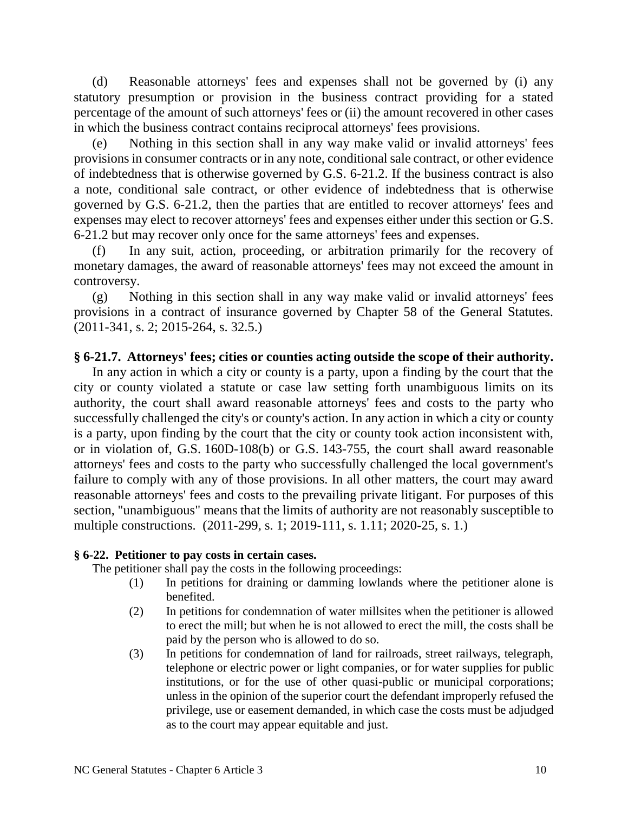(d) Reasonable attorneys' fees and expenses shall not be governed by (i) any statutory presumption or provision in the business contract providing for a stated percentage of the amount of such attorneys' fees or (ii) the amount recovered in other cases in which the business contract contains reciprocal attorneys' fees provisions.

Nothing in this section shall in any way make valid or invalid attorneys' fees provisions in consumer contracts or in any note, conditional sale contract, or other evidence of indebtedness that is otherwise governed by G.S. 6-21.2. If the business contract is also a note, conditional sale contract, or other evidence of indebtedness that is otherwise governed by G.S. 6-21.2, then the parties that are entitled to recover attorneys' fees and expenses may elect to recover attorneys' fees and expenses either under this section or G.S. 6-21.2 but may recover only once for the same attorneys' fees and expenses.

(f) In any suit, action, proceeding, or arbitration primarily for the recovery of monetary damages, the award of reasonable attorneys' fees may not exceed the amount in controversy.

(g) Nothing in this section shall in any way make valid or invalid attorneys' fees provisions in a contract of insurance governed by Chapter 58 of the General Statutes. (2011-341, s. 2; 2015-264, s. 32.5.)

# **§ 6-21.7. Attorneys' fees; cities or counties acting outside the scope of their authority.**

In any action in which a city or county is a party, upon a finding by the court that the city or county violated a statute or case law setting forth unambiguous limits on its authority, the court shall award reasonable attorneys' fees and costs to the party who successfully challenged the city's or county's action. In any action in which a city or county is a party, upon finding by the court that the city or county took action inconsistent with, or in violation of, G.S. 160D-108(b) or G.S. 143-755, the court shall award reasonable attorneys' fees and costs to the party who successfully challenged the local government's failure to comply with any of those provisions. In all other matters, the court may award reasonable attorneys' fees and costs to the prevailing private litigant. For purposes of this section, "unambiguous" means that the limits of authority are not reasonably susceptible to multiple constructions. (2011-299, s. 1; 2019-111, s. 1.11; 2020-25, s. 1.)

# **§ 6-22. Petitioner to pay costs in certain cases.**

The petitioner shall pay the costs in the following proceedings:

- (1) In petitions for draining or damming lowlands where the petitioner alone is benefited.
- (2) In petitions for condemnation of water millsites when the petitioner is allowed to erect the mill; but when he is not allowed to erect the mill, the costs shall be paid by the person who is allowed to do so.
- (3) In petitions for condemnation of land for railroads, street railways, telegraph, telephone or electric power or light companies, or for water supplies for public institutions, or for the use of other quasi-public or municipal corporations; unless in the opinion of the superior court the defendant improperly refused the privilege, use or easement demanded, in which case the costs must be adjudged as to the court may appear equitable and just.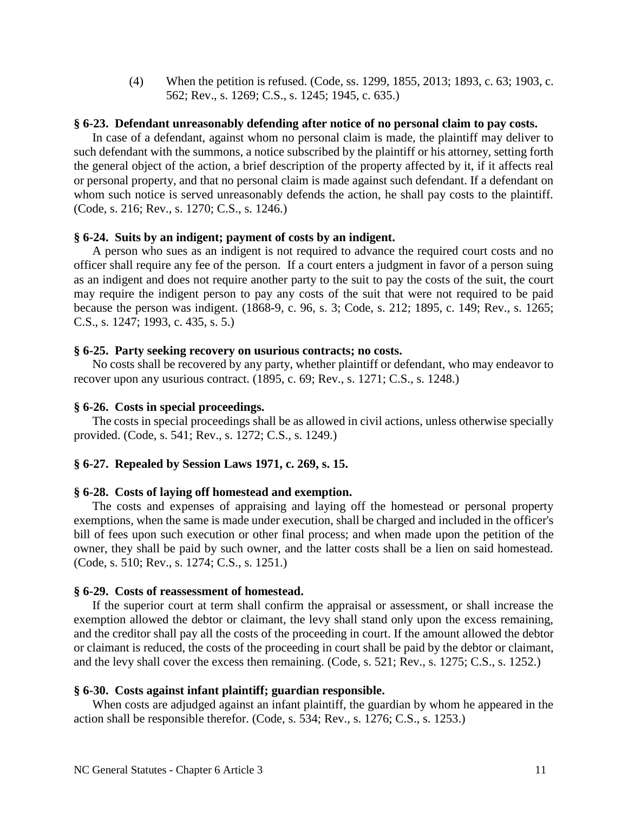(4) When the petition is refused. (Code, ss. 1299, 1855, 2013; 1893, c. 63; 1903, c. 562; Rev., s. 1269; C.S., s. 1245; 1945, c. 635.)

### **§ 6-23. Defendant unreasonably defending after notice of no personal claim to pay costs.**

In case of a defendant, against whom no personal claim is made, the plaintiff may deliver to such defendant with the summons, a notice subscribed by the plaintiff or his attorney, setting forth the general object of the action, a brief description of the property affected by it, if it affects real or personal property, and that no personal claim is made against such defendant. If a defendant on whom such notice is served unreasonably defends the action, he shall pay costs to the plaintiff. (Code, s. 216; Rev., s. 1270; C.S., s. 1246.)

## **§ 6-24. Suits by an indigent; payment of costs by an indigent.**

A person who sues as an indigent is not required to advance the required court costs and no officer shall require any fee of the person. If a court enters a judgment in favor of a person suing as an indigent and does not require another party to the suit to pay the costs of the suit, the court may require the indigent person to pay any costs of the suit that were not required to be paid because the person was indigent. (1868-9, c. 96, s. 3; Code, s. 212; 1895, c. 149; Rev., s. 1265; C.S., s. 1247; 1993, c. 435, s. 5.)

#### **§ 6-25. Party seeking recovery on usurious contracts; no costs.**

No costs shall be recovered by any party, whether plaintiff or defendant, who may endeavor to recover upon any usurious contract. (1895, c. 69; Rev., s. 1271; C.S., s. 1248.)

#### **§ 6-26. Costs in special proceedings.**

The costs in special proceedings shall be as allowed in civil actions, unless otherwise specially provided. (Code, s. 541; Rev., s. 1272; C.S., s. 1249.)

## **§ 6-27. Repealed by Session Laws 1971, c. 269, s. 15.**

### **§ 6-28. Costs of laying off homestead and exemption.**

The costs and expenses of appraising and laying off the homestead or personal property exemptions, when the same is made under execution, shall be charged and included in the officer's bill of fees upon such execution or other final process; and when made upon the petition of the owner, they shall be paid by such owner, and the latter costs shall be a lien on said homestead. (Code, s. 510; Rev., s. 1274; C.S., s. 1251.)

#### **§ 6-29. Costs of reassessment of homestead.**

If the superior court at term shall confirm the appraisal or assessment, or shall increase the exemption allowed the debtor or claimant, the levy shall stand only upon the excess remaining, and the creditor shall pay all the costs of the proceeding in court. If the amount allowed the debtor or claimant is reduced, the costs of the proceeding in court shall be paid by the debtor or claimant, and the levy shall cover the excess then remaining. (Code, s. 521; Rev., s. 1275; C.S., s. 1252.)

## **§ 6-30. Costs against infant plaintiff; guardian responsible.**

When costs are adjudged against an infant plaintiff, the guardian by whom he appeared in the action shall be responsible therefor. (Code, s. 534; Rev., s. 1276; C.S., s. 1253.)